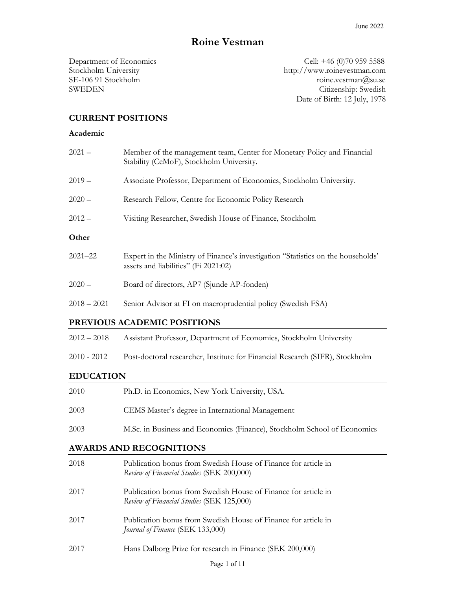# Roine Vestman

Department of Economics Cell: +46 (0)70 959 5588 Stockholm University http://www.roinevestman.com SE-106 91 Stockholm **roine.vestman@su.se** *roine.vestman@su.se* SWEDEN Citizenship: Swedish Date of Birth: 12 July, 1978

### CURRENT POSITIONS

#### Academic

| $2021 -$    | Member of the management team, Center for Monetary Policy and Financial<br>Stability (CeMoF), Stockholm University.      |
|-------------|--------------------------------------------------------------------------------------------------------------------------|
| $2019-$     | Associate Professor, Department of Economics, Stockholm University.                                                      |
| $2020 -$    | Research Fellow, Centre for Economic Policy Research                                                                     |
| $2012 -$    | Visiting Researcher, Swedish House of Finance, Stockholm                                                                 |
| Other       |                                                                                                                          |
|             |                                                                                                                          |
| $2021 - 22$ | Expert in the Ministry of Finance's investigation "Statistics on the households'<br>assets and liabilities" (Fi 2021:02) |
| $2020 -$    | Board of directors, AP7 (Sjunde AP-fonden)                                                                               |

#### PREVIOUS ACADEMIC POSITIONS

| $2012 - 2018$ | Assistant Professor, Department of Economics, Stockholm University |  |  |  |
|---------------|--------------------------------------------------------------------|--|--|--|
|---------------|--------------------------------------------------------------------|--|--|--|

2010 - 2012 Post-doctoral researcher, Institute for Financial Research (SIFR), Stockholm

### EDUCATION

| 2010 | Ph.D. in Economics, New York University, USA.                            |
|------|--------------------------------------------------------------------------|
| 2003 | CEMS Master's degree in International Management                         |
| 2003 | M.Sc. in Business and Economics (Finance), Stockholm School of Economics |

### AWARDS AND RECOGNITIONS

| 2018 | Publication bonus from Swedish House of Finance for article in<br>Review of Financial Studies (SEK 200,000) |
|------|-------------------------------------------------------------------------------------------------------------|
| 2017 | Publication bonus from Swedish House of Finance for article in<br>Review of Financial Studies (SEK 125,000) |
| 2017 | Publication bonus from Swedish House of Finance for article in<br><i>Journal of Finance</i> (SEK 133,000)   |
| 2017 | Hans Dalborg Prize for research in Finance (SEK 200,000)                                                    |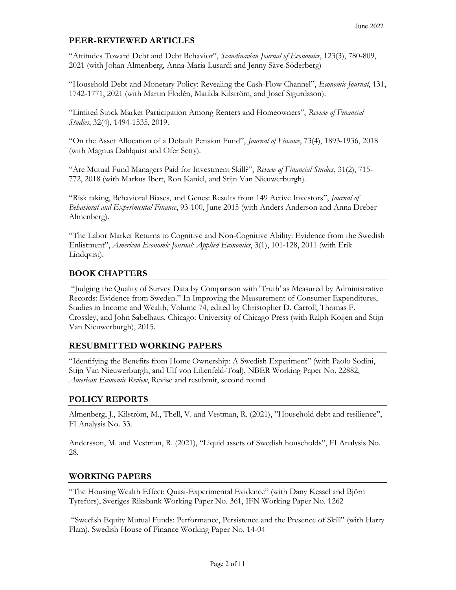### PEER-REVIEWED ARTICLES

"Attitudes Toward Debt and Debt Behavior", Scandinavian Journal of Economics, 123(3), 780-809, 2021 (with Johan Almenberg, Anna-Maria Lusardi and Jenny Säve-Söderberg)

"Household Debt and Monetary Policy: Revealing the Cash-Flow Channel", Economic Journal, 131, 1742-1771, 2021 (with Martin Flodén, Matilda Kilström, and Josef Sigurdsson).

"Limited Stock Market Participation Among Renters and Homeowners", Review of Financial Studies, 32(4), 1494-1535, 2019.

"On the Asset Allocation of a Default Pension Fund", Journal of Finance, 73(4), 1893-1936, 2018 (with Magnus Dahlquist and Ofer Setty).

"Are Mutual Fund Managers Paid for Investment Skill?", Review of Financial Studies, 31(2), 715- 772, 2018 (with Markus Ibert, Ron Kaniel, and Stijn Van Nieuwerburgh).

"Risk taking, Behavioral Biases, and Genes: Results from 149 Active Investors", Journal of Behavioral and Experimental Finance, 93-100, June 2015 (with Anders Anderson and Anna Dreber Almenberg).

"The Labor Market Returns to Cognitive and Non-Cognitive Ability: Evidence from the Swedish Enlistment", American Economic Journal: Applied Economics, 3(1), 101-128, 2011 (with Erik Lindqvist).

### BOOK CHAPTERS

 "Judging the Quality of Survey Data by Comparison with 'Truth' as Measured by Administrative Records: Evidence from Sweden." In Improving the Measurement of Consumer Expenditures, Studies in Income and Wealth, Volume 74, edited by Christopher D. Carroll, Thomas F. Crossley, and John Sabelhaus. Chicago: University of Chicago Press (with Ralph Koijen and Stijn Van Nieuwerburgh), 2015.

### RESUBMITTED WORKING PAPERS

"Identifying the Benefits from Home Ownership: A Swedish Experiment" (with Paolo Sodini, Stijn Van Nieuwerburgh, and Ulf von Lilienfeld-Toal), NBER Working Paper No. 22882, American Economic Review, Revise and resubmit, second round

### POLICY REPORTS

Almenberg, J., Kilström, M., Thell, V. and Vestman, R. (2021), "Household debt and resilience", FI Analysis No. 33.

Andersson, M. and Vestman, R. (2021), "Liquid assets of Swedish households", FI Analysis No. 28.

### WORKING PAPERS

"The Housing Wealth Effect: Quasi-Experimental Evidence" (with Dany Kessel and Björn Tyrefors), Sveriges Riksbank Working Paper No. 361, IFN Working Paper No. 1262

 "Swedish Equity Mutual Funds: Performance, Persistence and the Presence of Skill" (with Harry Flam), Swedish House of Finance Working Paper No. 14-04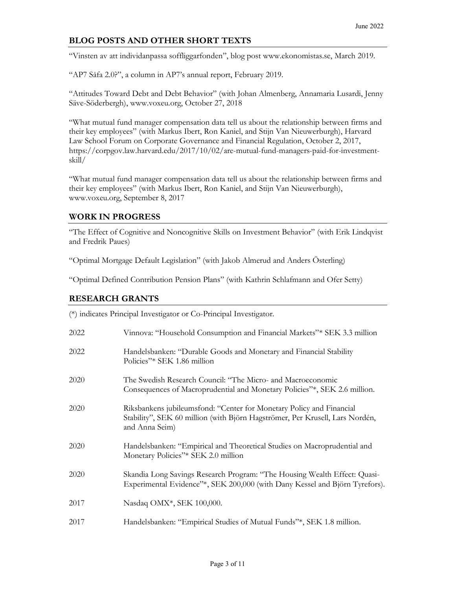# BLOG POSTS AND OTHER SHORT TEXTS

"Vinsten av att individanpassa soffliggarfonden", blog post www.ekonomistas.se, March 2019.

"AP7 Såfa 2.0?", a column in AP7's annual report, February 2019.

"Attitudes Toward Debt and Debt Behavior" (with Johan Almenberg, Annamaria Lusardi, Jenny Säve-Söderbergh), www.voxeu.org, October 27, 2018

"What mutual fund manager compensation data tell us about the relationship between firms and their key employees" (with Markus Ibert, Ron Kaniel, and Stijn Van Nieuwerburgh), Harvard Law School Forum on Corporate Governance and Financial Regulation, October 2, 2017, https://corpgov.law.harvard.edu/2017/10/02/are-mutual-fund-managers-paid-for-investmentskill/

"What mutual fund manager compensation data tell us about the relationship between firms and their key employees" (with Markus Ibert, Ron Kaniel, and Stijn Van Nieuwerburgh), www.voxeu.org, September 8, 2017

### WORK IN PROGRESS

"The Effect of Cognitive and Noncognitive Skills on Investment Behavior" (with Erik Lindqvist and Fredrik Paues)

"Optimal Mortgage Default Legislation" (with Jakob Almerud and Anders Österling)

"Optimal Defined Contribution Pension Plans" (with Kathrin Schlafmann and Ofer Setty)

#### RESEARCH GRANTS

(\*) indicates Principal Investigator or Co-Principal Investigator.

| 2022 | Vinnova: "Household Consumption and Financial Markets"* SEK 3.3 million                                                                                                |
|------|------------------------------------------------------------------------------------------------------------------------------------------------------------------------|
| 2022 | Handelsbanken: "Durable Goods and Monetary and Financial Stability<br>Policies"* SEK 1.86 million                                                                      |
| 2020 | The Swedish Research Council: "The Micro- and Macroeconomic<br>Consequences of Macroprudential and Monetary Policies"*, SEK 2.6 million.                               |
| 2020 | Riksbankens jubileumsfond: "Center for Monetary Policy and Financial<br>Stability", SEK 60 million (with Björn Hagströmer, Per Krusell, Lars Nordén,<br>and Anna Seim) |
| 2020 | Handelsbanken: "Empirical and Theoretical Studies on Macroprudential and<br>Monetary Policies"* SEK 2.0 million                                                        |
| 2020 | Skandia Long Savings Research Program: "The Housing Wealth Effect: Quasi-<br>Experimental Evidence"*, SEK 200,000 (with Dany Kessel and Björn Tyrefors).               |
| 2017 | Nasdaq OMX*, SEK 100,000.                                                                                                                                              |
| 2017 | Handelsbanken: "Empirical Studies of Mutual Funds"*, SEK 1.8 million.                                                                                                  |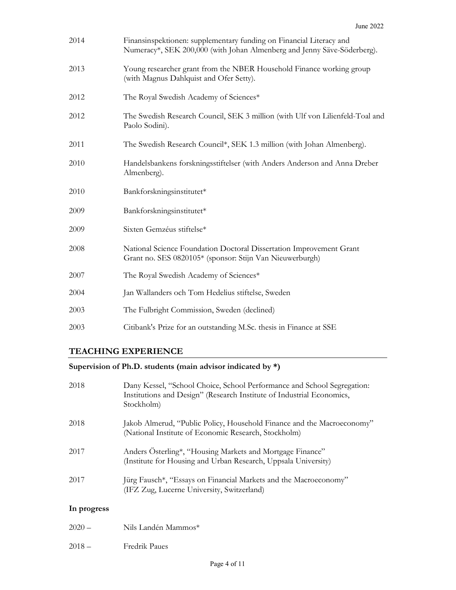| 2014 | Finansinspektionen: supplementary funding on Financial Literacy and<br>Numeracy*, SEK 200,000 (with Johan Almenberg and Jenny Säve-Söderberg). |
|------|------------------------------------------------------------------------------------------------------------------------------------------------|
| 2013 | Young researcher grant from the NBER Household Finance working group<br>(with Magnus Dahlquist and Ofer Setty).                                |
| 2012 | The Royal Swedish Academy of Sciences*                                                                                                         |
| 2012 | The Swedish Research Council, SEK 3 million (with Ulf von Lilienfeld-Toal and<br>Paolo Sodini).                                                |
| 2011 | The Swedish Research Council*, SEK 1.3 million (with Johan Almenberg).                                                                         |
| 2010 | Handelsbankens forskningsstiftelser (with Anders Anderson and Anna Dreber<br>Almenberg).                                                       |
| 2010 | Bankforskningsinstitutet*                                                                                                                      |
| 2009 | Bankforskningsinstitutet*                                                                                                                      |
| 2009 | Sixten Gemzéus stiftelse*                                                                                                                      |
| 2008 | National Science Foundation Doctoral Dissertation Improvement Grant<br>Grant no. SES 0820105* (sponsor: Stijn Van Nieuwerburgh)                |
| 2007 | The Royal Swedish Academy of Sciences*                                                                                                         |
| 2004 | Jan Wallanders och Tom Hedelius stiftelse, Sweden                                                                                              |
| 2003 | The Fulbright Commission, Sweden (declined)                                                                                                    |
| 2003 | Citibank's Prize for an outstanding M.Sc. thesis in Finance at SSE                                                                             |

### TEACHING EXPERIENCE

## Supervision of Ph.D. students (main advisor indicated by \*)

| 2018        | Dany Kessel, "School Choice, School Performance and School Segregation:<br>Institutions and Design" (Research Institute of Industrial Economics,<br>Stockholm) |
|-------------|----------------------------------------------------------------------------------------------------------------------------------------------------------------|
| 2018        | Jakob Almerud, "Public Policy, Household Finance and the Macroeconomy"<br>(National Institute of Economic Research, Stockholm)                                 |
| 2017        | Anders Osterling*, "Housing Markets and Mortgage Finance"<br>(Institute for Housing and Urban Research, Uppsala University)                                    |
| 2017        | Jürg Fausch*, "Essays on Financial Markets and the Macroeconomy"<br>(IFZ Zug, Lucerne University, Switzerland)                                                 |
| In progress |                                                                                                                                                                |
| $2020 -$    | Nils Landén Mammos*                                                                                                                                            |

2018 – Fredrik Paues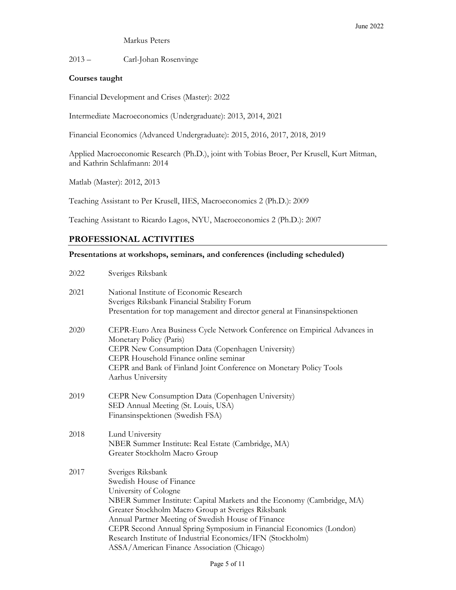#### Markus Peters

2013 – Carl-Johan Rosenvinge

#### Courses taught

Financial Development and Crises (Master): 2022

Intermediate Macroeconomics (Undergraduate): 2013, 2014, 2021

Financial Economics (Advanced Undergraduate): 2015, 2016, 2017, 2018, 2019

Applied Macroeconomic Research (Ph.D.), joint with Tobias Broer, Per Krusell, Kurt Mitman, and Kathrin Schlafmann: 2014

Matlab (Master): 2012, 2013

Teaching Assistant to Per Krusell, IIES, Macroeconomics 2 (Ph.D.): 2009

Teaching Assistant to Ricardo Lagos, NYU, Macroeconomics 2 (Ph.D.): 2007

#### PROFESSIONAL ACTIVITIES

#### Presentations at workshops, seminars, and conferences (including scheduled)

| 2022 | Sveriges Riksbank                                                                                                                                                                                                                                                                                                                                                                                                                                |
|------|--------------------------------------------------------------------------------------------------------------------------------------------------------------------------------------------------------------------------------------------------------------------------------------------------------------------------------------------------------------------------------------------------------------------------------------------------|
| 2021 | National Institute of Economic Research<br>Sveriges Riksbank Financial Stability Forum<br>Presentation for top management and director general at Finansinspektionen                                                                                                                                                                                                                                                                             |
| 2020 | CEPR-Euro Area Business Cycle Network Conference on Empirical Advances in<br>Monetary Policy (Paris)<br>CEPR New Consumption Data (Copenhagen University)<br>CEPR Household Finance online seminar<br>CEPR and Bank of Finland Joint Conference on Monetary Policy Tools<br>Aarhus University                                                                                                                                                    |
| 2019 | CEPR New Consumption Data (Copenhagen University)<br>SED Annual Meeting (St. Louis, USA)<br>Finansinspektionen (Swedish FSA)                                                                                                                                                                                                                                                                                                                     |
| 2018 | Lund University<br>NBER Summer Institute: Real Estate (Cambridge, MA)<br>Greater Stockholm Macro Group                                                                                                                                                                                                                                                                                                                                           |
| 2017 | Sveriges Riksbank<br>Swedish House of Finance<br>University of Cologne<br>NBER Summer Institute: Capital Markets and the Economy (Cambridge, MA)<br>Greater Stockholm Macro Group at Sveriges Riksbank<br>Annual Partner Meeting of Swedish House of Finance<br>CEPR Second Annual Spring Symposium in Financial Economics (London)<br>Research Institute of Industrial Economics/IFN (Stockholm)<br>ASSA/American Finance Association (Chicago) |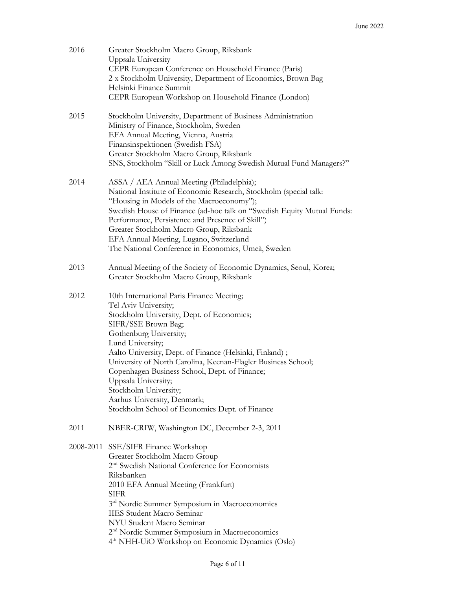| 2016 | Greater Stockholm Macro Group, Riksbank<br>Uppsala University<br>CEPR European Conference on Household Finance (Paris)<br>2 x Stockholm University, Department of Economics, Brown Bag<br>Helsinki Finance Summit<br>CEPR European Workshop on Household Finance (London)                                                                                                                                                                                                                         |
|------|---------------------------------------------------------------------------------------------------------------------------------------------------------------------------------------------------------------------------------------------------------------------------------------------------------------------------------------------------------------------------------------------------------------------------------------------------------------------------------------------------|
| 2015 | Stockholm University, Department of Business Administration<br>Ministry of Finance, Stockholm, Sweden<br>EFA Annual Meeting, Vienna, Austria<br>Finansinspektionen (Swedish FSA)<br>Greater Stockholm Macro Group, Riksbank<br>SNS, Stockholm "Skill or Luck Among Swedish Mutual Fund Managers?"                                                                                                                                                                                                 |
| 2014 | ASSA / AEA Annual Meeting (Philadelphia);<br>National Institute of Economic Research, Stockholm (special talk:<br>"Housing in Models of the Macroeconomy");<br>Swedish House of Finance (ad-hoc talk on "Swedish Equity Mutual Funds:<br>Performance, Persistence and Presence of Skill")<br>Greater Stockholm Macro Group, Riksbank<br>EFA Annual Meeting, Lugano, Switzerland<br>The National Conference in Economics, Umeå, Sweden                                                             |
| 2013 | Annual Meeting of the Society of Economic Dynamics, Seoul, Korea;<br>Greater Stockholm Macro Group, Riksbank                                                                                                                                                                                                                                                                                                                                                                                      |
| 2012 | 10th International Paris Finance Meeting;<br>Tel Aviv University;<br>Stockholm University, Dept. of Economics;<br>SIFR/SSE Brown Bag;<br>Gothenburg University;<br>Lund University;<br>Aalto University, Dept. of Finance (Helsinki, Finland);<br>University of North Carolina, Keenan-Flagler Business School;<br>Copenhagen Business School, Dept. of Finance;<br>Uppsala University;<br>Stockholm University;<br>Aarhus University, Denmark;<br>Stockholm School of Economics Dept. of Finance |
| 2011 | NBER-CRIW, Washington DC, December 2-3, 2011                                                                                                                                                                                                                                                                                                                                                                                                                                                      |
|      | 2008-2011 SSE/SIFR Finance Workshop<br>Greater Stockholm Macro Group<br>2 <sup>nd</sup> Swedish National Conference for Economists<br>Riksbanken<br>2010 EFA Annual Meeting (Frankfurt)<br><b>SIFR</b><br>3rd Nordic Summer Symposium in Macroeconomics<br><b>IIES Student Macro Seminar</b><br>NYU Student Macro Seminar<br>2 <sup>nd</sup> Nordic Summer Symposium in Macroeconomics<br>4 <sup>th</sup> NHH-UiO Workshop on Economic Dynamics (Oslo)                                            |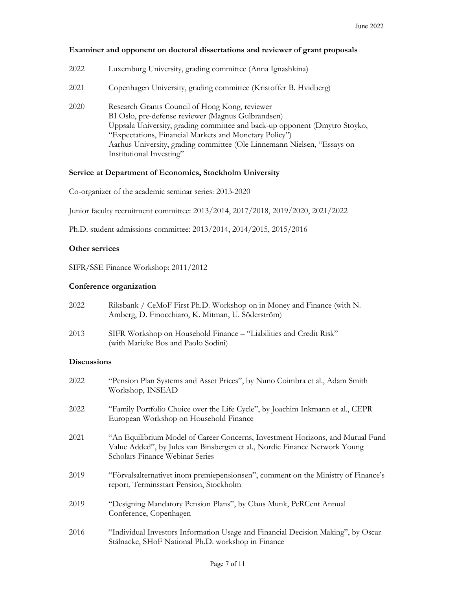#### Examiner and opponent on doctoral dissertations and reviewer of grant proposals

| 2022 | Luxemburg University, grading committee (Anna Ignashkina)                                                                                                                                                                                                                                                                                           |
|------|-----------------------------------------------------------------------------------------------------------------------------------------------------------------------------------------------------------------------------------------------------------------------------------------------------------------------------------------------------|
| 2021 | Copenhagen University, grading committee (Kristoffer B. Hvidberg)                                                                                                                                                                                                                                                                                   |
| 2020 | Research Grants Council of Hong Kong, reviewer<br>BI Oslo, pre-defense reviewer (Magnus Gulbrandsen)<br>Uppsala University, grading committee and back-up opponent (Dmytro Stoyko,<br>"Expectations, Financial Markets and Monetary Policy")<br>Aarhus University, grading committee (Ole Linnemann Nielsen, "Essays on<br>Institutional Investing" |

#### Service at Department of Economics, Stockholm University

Co-organizer of the academic seminar series: 2013-2020

Junior faculty recruitment committee: 2013/2014, 2017/2018, 2019/2020, 2021/2022

Ph.D. student admissions committee: 2013/2014, 2014/2015, 2015/2016

#### Other services

SIFR/SSE Finance Workshop: 2011/2012

#### Conference organization

| 2022               | Riksbank / CeMoF First Ph.D. Workshop on in Money and Finance (with N.<br>Amberg, D. Finocchiaro, K. Mitman, U. Söderström) |
|--------------------|-----------------------------------------------------------------------------------------------------------------------------|
| 2013               | SIFR Workshop on Household Finance - "Liabilities and Credit Risk"<br>(with Marieke Bos and Paolo Sodini)                   |
| <b>Discussions</b> |                                                                                                                             |
| 2022               | "Pension Plan Systems and Asset Prices", by Nuno Coimbra et al., Adam Smith<br>Workshop, INSEAD                             |

- 2022 "Family Portfolio Choice over the Life Cycle", by Joachim Inkmann et al., CEPR European Workshop on Household Finance
- 2021 "An Equilibrium Model of Career Concerns, Investment Horizons, and Mutual Fund Value Added", by Jules van Binsbergen et al., Nordic Finance Network Young Scholars Finance Webinar Series
- 2019 "Förvalsalternativet inom premiepensionsen", comment on the Ministry of Finance's report, Terminsstart Pension, Stockholm
- 2019 "Designing Mandatory Pension Plans", by Claus Munk, PeRCent Annual Conference, Copenhagen
- 2016 "Individual Investors Information Usage and Financial Decision Making", by Oscar Stålnacke, SHoF National Ph.D. workshop in Finance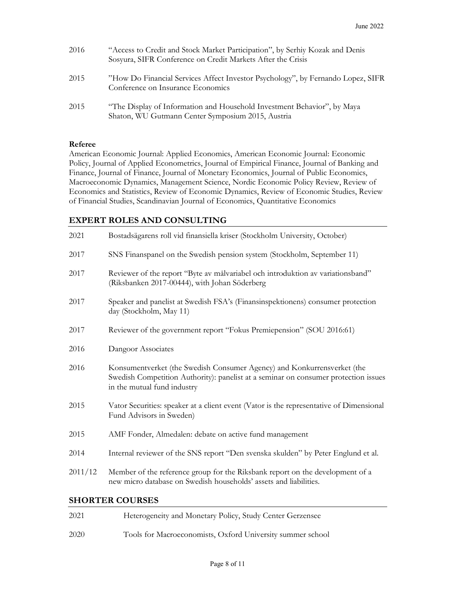| 2016 | "Access to Credit and Stock Market Participation", by Serhiy Kozak and Denis<br>Sosyura, SIFR Conference on Credit Markets After the Crisis |
|------|---------------------------------------------------------------------------------------------------------------------------------------------|
| 2015 | "How Do Financial Services Affect Investor Psychology", by Fernando Lopez, SIFR<br>Conference on Insurance Economics                        |
| 2015 | "The Display of Information and Household Investment Behavior", by Maya<br>Shaton, WU Gutmann Center Symposium 2015, Austria                |

#### Referee

American Economic Journal: Applied Economics, American Economic Journal: Economic Policy, Journal of Applied Econometrics, Journal of Empirical Finance, Journal of Banking and Finance, Journal of Finance, Journal of Monetary Economics, Journal of Public Economics, Macroeconomic Dynamics, Management Science, Nordic Economic Policy Review, Review of Economics and Statistics, Review of Economic Dynamics, Review of Economic Studies, Review of Financial Studies, Scandinavian Journal of Economics, Quantitative Economics

#### EXPERT ROLES AND CONSULTING

| 2021                   | Bostadsägarens roll vid finansiella kriser (Stockholm University, October)                                                                                                                    |  |  |
|------------------------|-----------------------------------------------------------------------------------------------------------------------------------------------------------------------------------------------|--|--|
| 2017                   | SNS Finanspanel on the Swedish pension system (Stockholm, September 11)                                                                                                                       |  |  |
| 2017                   | Reviewer of the report "Byte av målvariabel och introduktion av variationsband"<br>(Riksbanken 2017-00444), with Johan Söderberg                                                              |  |  |
| 2017                   | Speaker and panelist at Swedish FSA's (Finansinspektionens) consumer protection<br>day (Stockholm, May 11)                                                                                    |  |  |
| 2017                   | Reviewer of the government report "Fokus Premiepension" (SOU 2016:61)                                                                                                                         |  |  |
| 2016                   | Dangoor Associates                                                                                                                                                                            |  |  |
| 2016                   | Konsumentverket (the Swedish Consumer Agency) and Konkurrensverket (the<br>Swedish Competition Authority): panelist at a seminar on consumer protection issues<br>in the mutual fund industry |  |  |
| 2015                   | Vator Securities: speaker at a client event (Vator is the representative of Dimensional<br>Fund Advisors in Sweden)                                                                           |  |  |
| 2015                   | AMF Fonder, Almedalen: debate on active fund management                                                                                                                                       |  |  |
| 2014                   | Internal reviewer of the SNS report "Den svenska skulden" by Peter Englund et al.                                                                                                             |  |  |
| 2011/12                | Member of the reference group for the Riksbank report on the development of a<br>new micro database on Swedish households' assets and liabilities.                                            |  |  |
| <b>SHORTER COURSES</b> |                                                                                                                                                                                               |  |  |
| 2021                   | Heterogeneity and Monetary Policy, Study Center Gerzensee                                                                                                                                     |  |  |

| 2020 | Tools for Macroeconomists, Oxford University summer school |
|------|------------------------------------------------------------|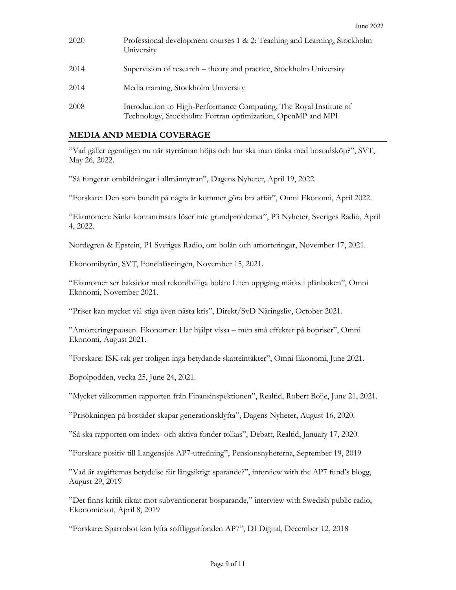| 2020 | Professional development courses 1 & 2: Teaching and Learning, Stockholm<br>University                                            |
|------|-----------------------------------------------------------------------------------------------------------------------------------|
| 2014 | Supervision of research – theory and practice, Stockholm University                                                               |
| 2014 | Media training, Stockholm University                                                                                              |
| 2008 | Introduction to High-Performance Computing, The Royal Institute of<br>Technology, Stockholm: Fortran optimization, OpenMP and MPI |

#### MEDIA AND MEDIA COVERAGE

"Vad gäller egentligen nu när styrräntan höjts och hur ska man tänka med bostadsköp?", SVT, May 26, 2022.

"Så fungerar ombildningar i allmännyttan", Dagens Nyheter, April 19, 2022.

"Forskare: Den som bundit på några år kommer göra bra affär", Omni Ekonomi, April 2022.

"Ekonomen: Sänkt kontantinsats löser inte grundproblemet", P3 Nyheter, Sveriges Radio, April 4, 2022.

Nordegren & Epstein, P1 Sveriges Radio, om bolån och amorteringar, November 17, 2021.

Ekonomibyrån, SVT, Fondblåsningen, November 15, 2021.

"Ekonomer ser baksidor med rekordbilliga bolån: Liten uppgång märks i plånboken", Omni Ekonomi, November 2021.

"Priser kan mycket väl stiga även nästa kris", Direkt/SvD Näringsliv, October 2021.

"Amorteringspausen. Ekonomer: Har hjälpt vissa – men små effekter på bopriser", Omni Ekonomi, August 2021.

"Forskare: ISK-tak ger troligen inga betydande skatteintäkter", Omni Ekonomi, June 2021.

Bopolpodden, vecka 25, June 24, 2021.

"Mycket välkommen rapporten från Finansinspektionen", Realtid, Robert Boije, June 21, 2021.

"Prisökningen på bostäder skapar generationsklyfta", Dagens Nyheter, August 16, 2020.

"Så ska rapporten om index- och aktiva fonder tolkas", Debatt, Realtid, January 17, 2020.

"Forskare positiv till Langensjös AP7-utredning", Pensionsnyheterna, September 19, 2019

"Vad är avgifternas betydelse för långsiktigt sparande?", interview with the AP7 fund's blogg, August 29, 2019

"Det finns kritik riktat mot subventionerat bosparande," interview with Swedish public radio, Ekonomiekot, April 8, 2019

"Forskare: Sparrobot kan lyfta soffliggarfonden AP7", DI Digital, December 12, 2018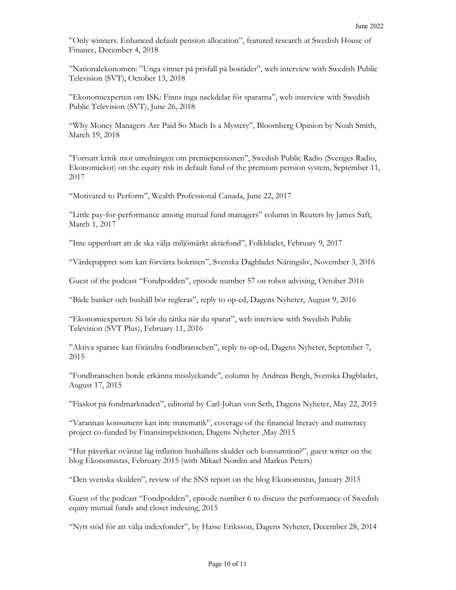"Only winners. Enhanced default pension allocation", featured research at Swedish House of Finance, December 4, 2018

"Nationalekonomen: "Unga vinner på prisfall på bostäder", web interview with Swedish Public Television (SVT), October 13, 2018

"Ekonomiexperten om ISK: Finns inga nackdelar för spararna", web interview with Swedish Public Television (SVT), June 26, 2018

"Why Money Managers Are Paid So Much Is a Mystery", Bloomberg Opinion by Noah Smith, March 19, 2018

"Fortsatt kritik mot utredningen om premiepensionen", Swedish Public Radio (Sveriges Radio, Ekonomiekot) on the equity risk in default fund of the premium pension system, September 11, 2017

"Motivated to Perform", Wealth Professional Canada, June 22, 2017

"Little pay-for-performance among mutual fund managers" column in Reuters by James Saft, March 1, 2017

"Inte uppenbart att de ska välja miljömärkt aktiefond", Folkbladet, February 9, 2017

"Värdepappret som kan förvärra bokrisen", Svenska Dagbladet Näringsliv, November 3, 2016

Guest of the podcast "Fondpodden", episode number 57 on robot advising, October 2016

"Både banker och hushåll bör regleras", reply to op-ed, Dagens Nyheter, August 9, 2016

"Ekonomiexperten: Så bör du tänka när du sparar", web interview with Swedish Public Television (SVT Plus), February 11, 2016

"Aktiva sparare kan förändra fondbranschen", reply to op-ed, Dagens Nyheter, September 7, 2015

"Fondbranschen borde erkänna misslyckande", column by Andreas Bergh, Svenska Dagbladet, August 17, 2015

"Fiaskot på fondmarknaden", editorial by Carl-Johan von Seth, Dagens Nyheter, May 22, 2015

"Varannan konsument kan inte matematik", coverage of the financial literacy and numeracy project co-funded by Finansinspektionen, Dagens Nyheter ,May 2015

"Hur påverkar oväntat låg inflation hushållens skulder och konsumtion?", guest writer on the blog Ekonomistas, February 2015 (with Mikael Nordin and Markus Peters)

"Den svenska skulden", review of the SNS report on the blog Ekonomistas, January 2015

Guest of the podcast "Fondpodden", episode number 6 to discuss the performance of Swedish equity mutual funds and closet indexing, 2015

"Nytt stöd för att välja indexfonder", by Hasse Eriksson, Dagens Nyheter, December 28, 2014